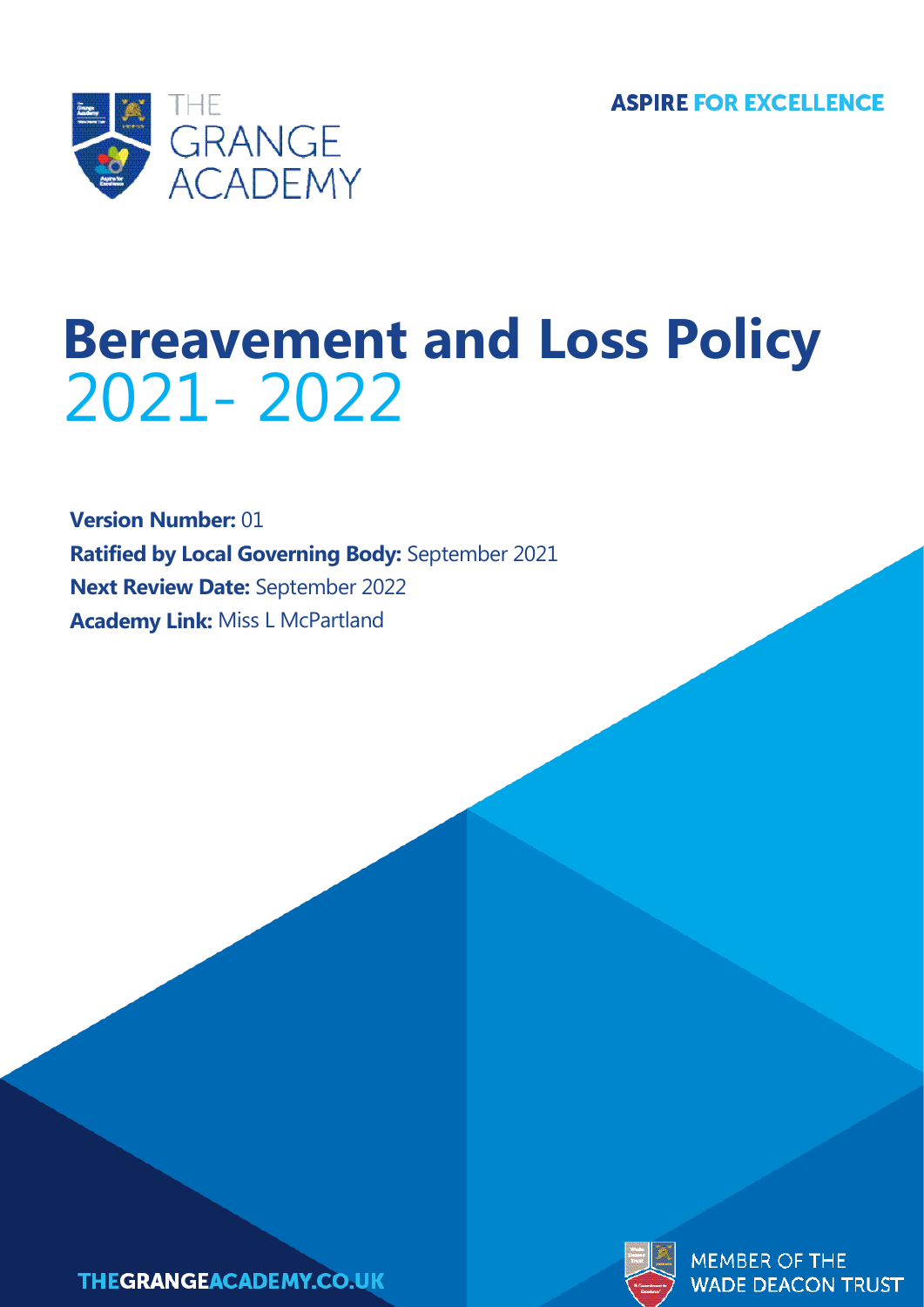

# **Bereavement and Loss Policy** 2021- 2022

**Version Number:** 01 **Ratified by Local Governing Body:** September 2021 **Next Review Date:** September 2022 **Academy Link:** Miss L McPartland





**MEMBER OF THE WADE DEACON TRUST**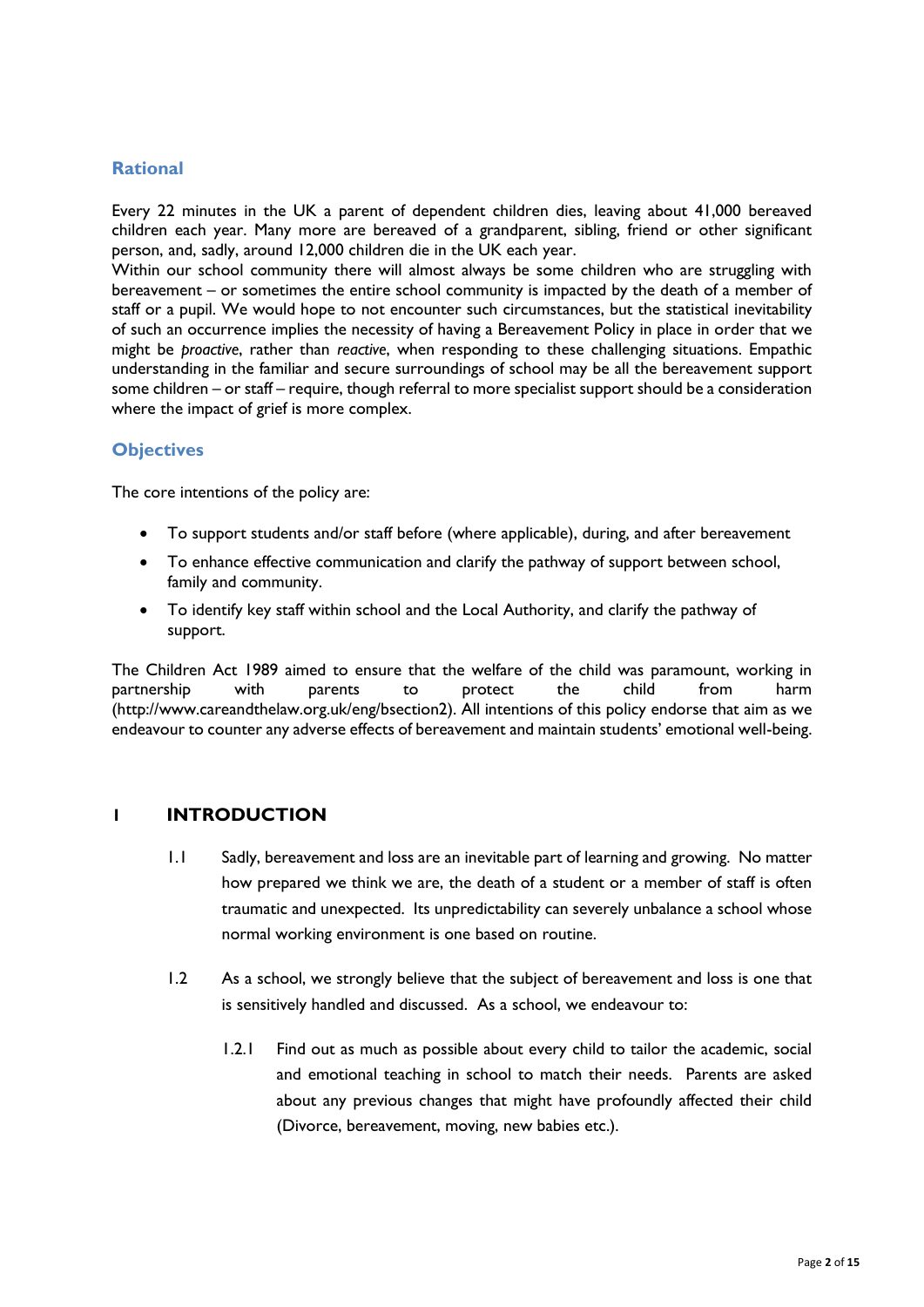## **Rational**

Every 22 minutes in the UK a parent of dependent children dies, leaving about 41,000 bereaved children each year. Many more are bereaved of a grandparent, sibling, friend or other significant person, and, sadly, around 12,000 children die in the UK each year.

Within our school community there will almost always be some children who are struggling with bereavement – or sometimes the entire school community is impacted by the death of a member of staff or a pupil. We would hope to not encounter such circumstances, but the statistical inevitability of such an occurrence implies the necessity of having a Bereavement Policy in place in order that we might be *proactive*, rather than *reactive*, when responding to these challenging situations. Empathic understanding in the familiar and secure surroundings of school may be all the bereavement support some children – or staff – require, though referral to more specialist support should be a consideration where the impact of grief is more complex.

#### **Objectives**

The core intentions of the policy are:

- To support students and/or staff before (where applicable), during, and after bereavement
- To enhance effective communication and clarify the pathway of support between school, family and community.
- To identify key staff within school and the Local Authority, and clarify the pathway of support.

The Children Act 1989 aimed to ensure that the welfare of the child was paramount, working in partnership with parents to protect the child from harm (http://www.careandthelaw.org.uk/eng/bsection2). All intentions of this policy endorse that aim as we endeavour to counter any adverse effects of bereavement and maintain students' emotional well-being.

#### **1 INTRODUCTION**

- 1.1 Sadly, bereavement and loss are an inevitable part of learning and growing. No matter how prepared we think we are, the death of a student or a member of staff is often traumatic and unexpected. Its unpredictability can severely unbalance a school whose normal working environment is one based on routine.
- 1.2 As a school, we strongly believe that the subject of bereavement and loss is one that is sensitively handled and discussed. As a school, we endeavour to:
	- 1.2.1 Find out as much as possible about every child to tailor the academic, social and emotional teaching in school to match their needs. Parents are asked about any previous changes that might have profoundly affected their child (Divorce, bereavement, moving, new babies etc.).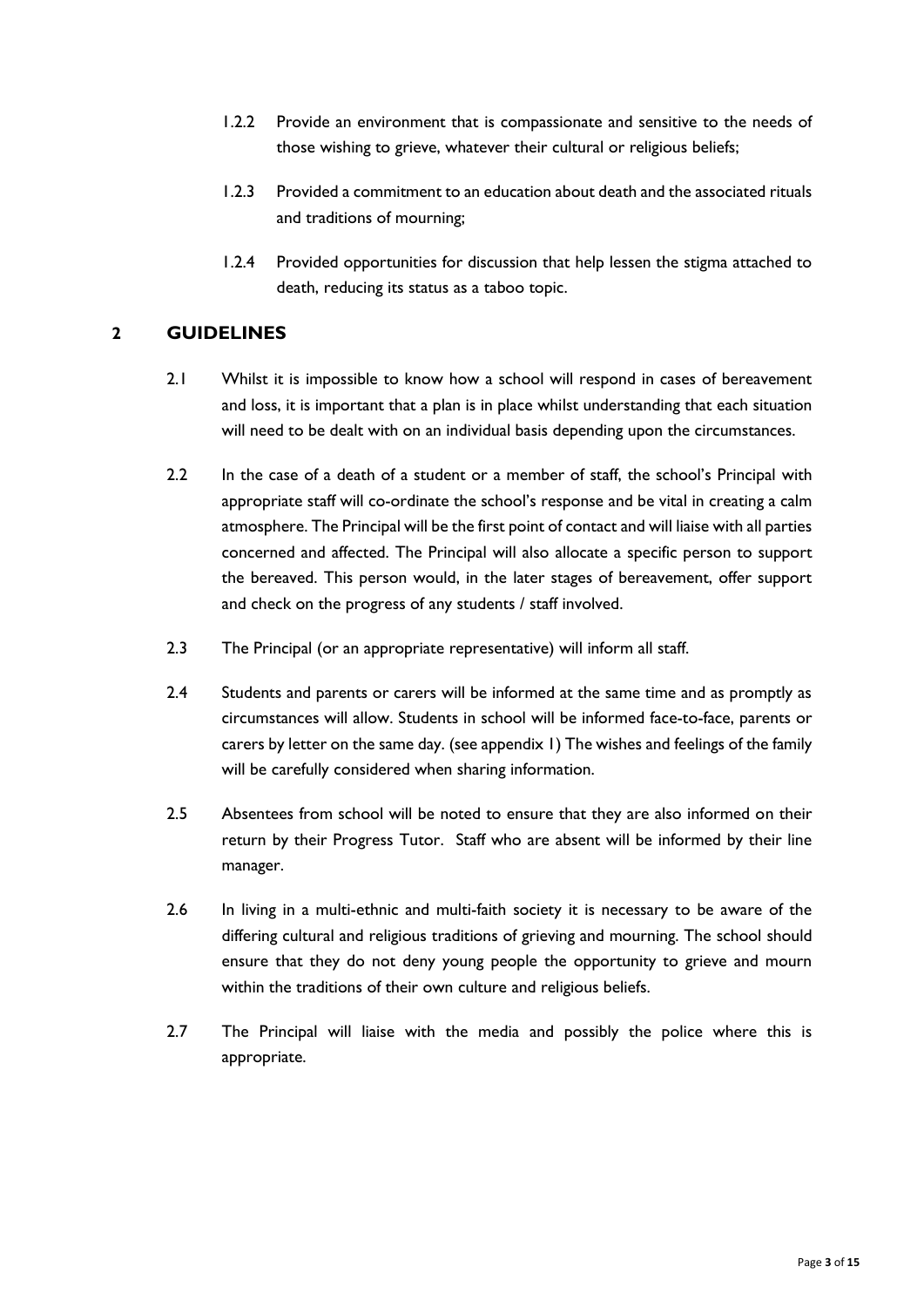- 1.2.2 Provide an environment that is compassionate and sensitive to the needs of those wishing to grieve, whatever their cultural or religious beliefs;
- 1.2.3 Provided a commitment to an education about death and the associated rituals and traditions of mourning;
- 1.2.4 Provided opportunities for discussion that help lessen the stigma attached to death, reducing its status as a taboo topic.

## **2 GUIDELINES**

- 2.1 Whilst it is impossible to know how a school will respond in cases of bereavement and loss, it is important that a plan is in place whilst understanding that each situation will need to be dealt with on an individual basis depending upon the circumstances.
- 2.2 In the case of a death of a student or a member of staff, the school's Principal with appropriate staff will co-ordinate the school's response and be vital in creating a calm atmosphere. The Principal will be the first point of contact and will liaise with all parties concerned and affected. The Principal will also allocate a specific person to support the bereaved. This person would, in the later stages of bereavement, offer support and check on the progress of any students / staff involved.
- 2.3 The Principal (or an appropriate representative) will inform all staff.
- 2.4 Students and parents or carers will be informed at the same time and as promptly as circumstances will allow. Students in school will be informed face-to-face, parents or carers by letter on the same day. (see appendix 1) The wishes and feelings of the family will be carefully considered when sharing information.
- 2.5 Absentees from school will be noted to ensure that they are also informed on their return by their Progress Tutor. Staff who are absent will be informed by their line manager.
- 2.6 In living in a multi-ethnic and multi-faith society it is necessary to be aware of the differing cultural and religious traditions of grieving and mourning. The school should ensure that they do not deny young people the opportunity to grieve and mourn within the traditions of their own culture and religious beliefs.
- 2.7 The Principal will liaise with the media and possibly the police where this is appropriate.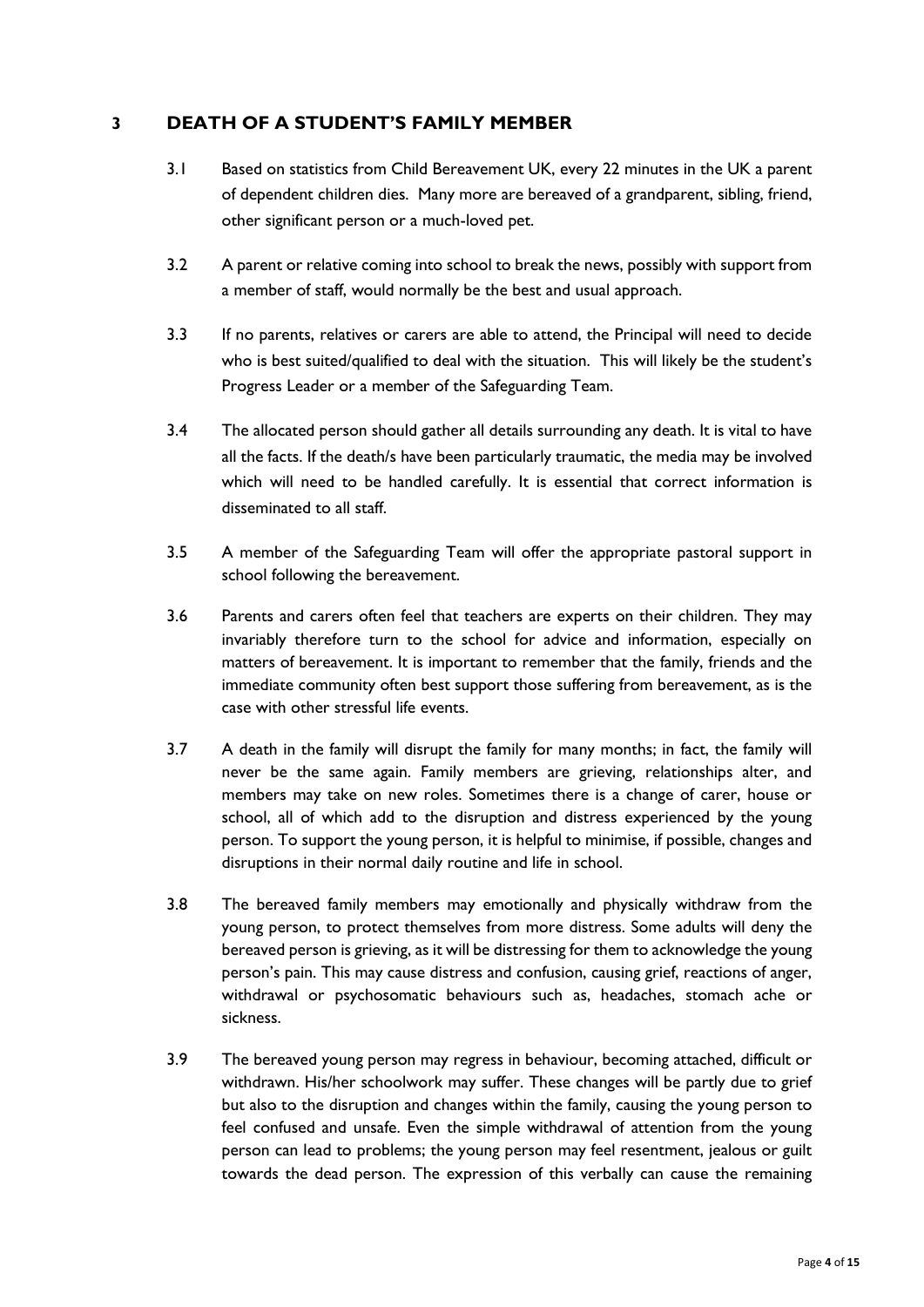## **3 DEATH OF A STUDENT'S FAMILY MEMBER**

- 3.1 Based on statistics from Child Bereavement UK, every 22 minutes in the UK a parent of dependent children dies. Many more are bereaved of a grandparent, sibling, friend, other significant person or a much-loved pet.
- 3.2 A parent or relative coming into school to break the news, possibly with support from a member of staff, would normally be the best and usual approach.
- 3.3 If no parents, relatives or carers are able to attend, the Principal will need to decide who is best suited/qualified to deal with the situation. This will likely be the student's Progress Leader or a member of the Safeguarding Team.
- 3.4 The allocated person should gather all details surrounding any death. It is vital to have all the facts. If the death/s have been particularly traumatic, the media may be involved which will need to be handled carefully. It is essential that correct information is disseminated to all staff.
- 3.5 A member of the Safeguarding Team will offer the appropriate pastoral support in school following the bereavement.
- 3.6 Parents and carers often feel that teachers are experts on their children. They may invariably therefore turn to the school for advice and information, especially on matters of bereavement. It is important to remember that the family, friends and the immediate community often best support those suffering from bereavement, as is the case with other stressful life events.
- 3.7 A death in the family will disrupt the family for many months; in fact, the family will never be the same again. Family members are grieving, relationships alter, and members may take on new roles. Sometimes there is a change of carer, house or school, all of which add to the disruption and distress experienced by the young person. To support the young person, it is helpful to minimise, if possible, changes and disruptions in their normal daily routine and life in school.
- 3.8 The bereaved family members may emotionally and physically withdraw from the young person, to protect themselves from more distress. Some adults will deny the bereaved person is grieving, as it will be distressing for them to acknowledge the young person's pain. This may cause distress and confusion, causing grief, reactions of anger, withdrawal or psychosomatic behaviours such as, headaches, stomach ache or sickness.
- 3.9 The bereaved young person may regress in behaviour, becoming attached, difficult or withdrawn. His/her schoolwork may suffer. These changes will be partly due to grief but also to the disruption and changes within the family, causing the young person to feel confused and unsafe. Even the simple withdrawal of attention from the young person can lead to problems; the young person may feel resentment, jealous or guilt towards the dead person. The expression of this verbally can cause the remaining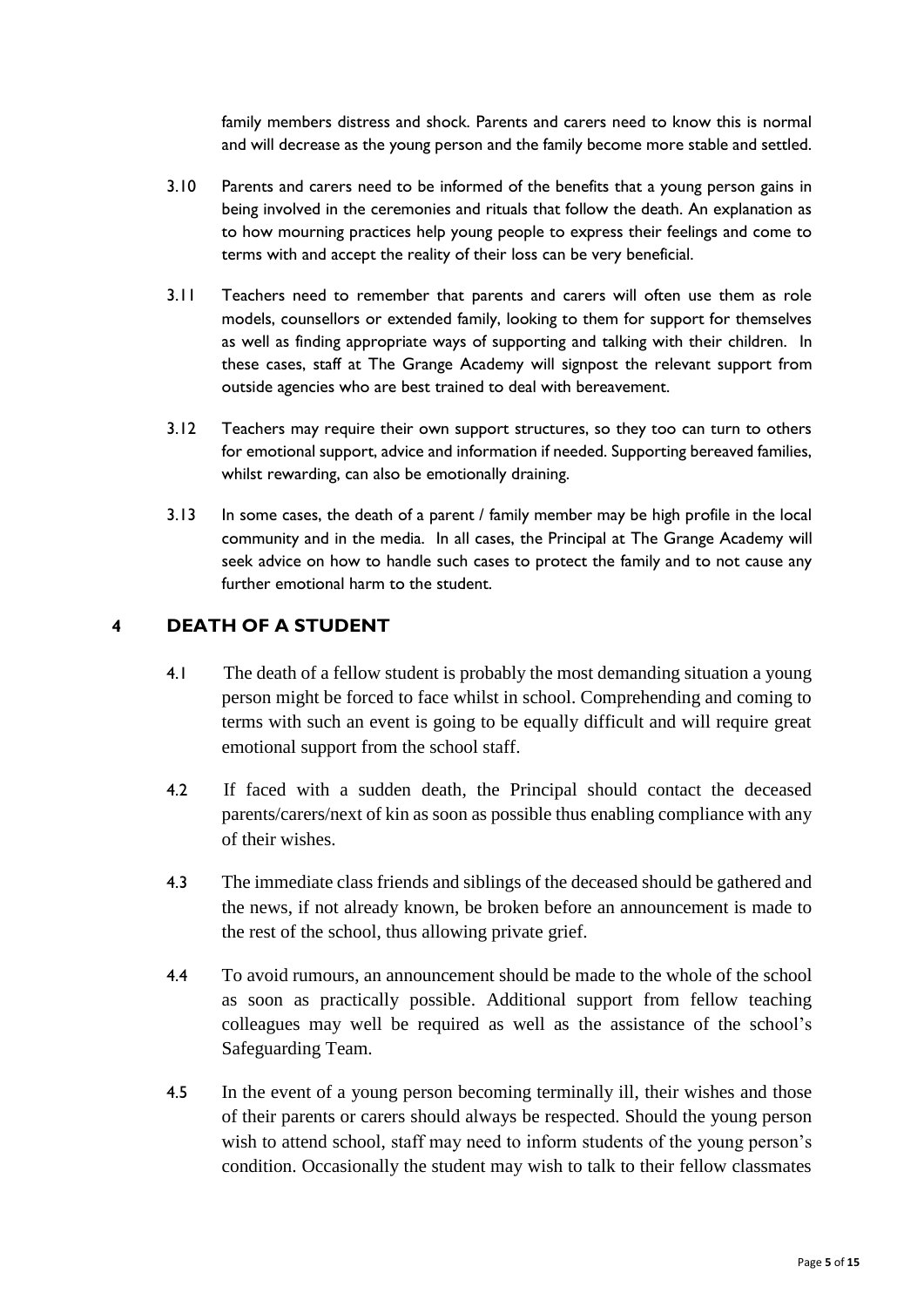family members distress and shock. Parents and carers need to know this is normal and will decrease as the young person and the family become more stable and settled.

- 3.10 Parents and carers need to be informed of the benefits that a young person gains in being involved in the ceremonies and rituals that follow the death. An explanation as to how mourning practices help young people to express their feelings and come to terms with and accept the reality of their loss can be very beneficial.
- 3.11 Teachers need to remember that parents and carers will often use them as role models, counsellors or extended family, looking to them for support for themselves as well as finding appropriate ways of supporting and talking with their children. In these cases, staff at The Grange Academy will signpost the relevant support from outside agencies who are best trained to deal with bereavement.
- 3.12 Teachers may require their own support structures, so they too can turn to others for emotional support, advice and information if needed. Supporting bereaved families, whilst rewarding, can also be emotionally draining.
- 3.13 In some cases, the death of a parent / family member may be high profile in the local community and in the media. In all cases, the Principal at The Grange Academy will seek advice on how to handle such cases to protect the family and to not cause any further emotional harm to the student.

## **4 DEATH OF A STUDENT**

- 4.1 The death of a fellow student is probably the most demanding situation a young person might be forced to face whilst in school. Comprehending and coming to terms with such an event is going to be equally difficult and will require great emotional support from the school staff.
- 4.2 If faced with a sudden death, the Principal should contact the deceased parents/carers/next of kin as soon as possible thus enabling compliance with any of their wishes.
- 4.3 The immediate class friends and siblings of the deceased should be gathered and the news, if not already known, be broken before an announcement is made to the rest of the school, thus allowing private grief.
- 4.4 To avoid rumours, an announcement should be made to the whole of the school as soon as practically possible. Additional support from fellow teaching colleagues may well be required as well as the assistance of the school's Safeguarding Team.
- 4.5 In the event of a young person becoming terminally ill, their wishes and those of their parents or carers should always be respected. Should the young person wish to attend school, staff may need to inform students of the young person's condition. Occasionally the student may wish to talk to their fellow classmates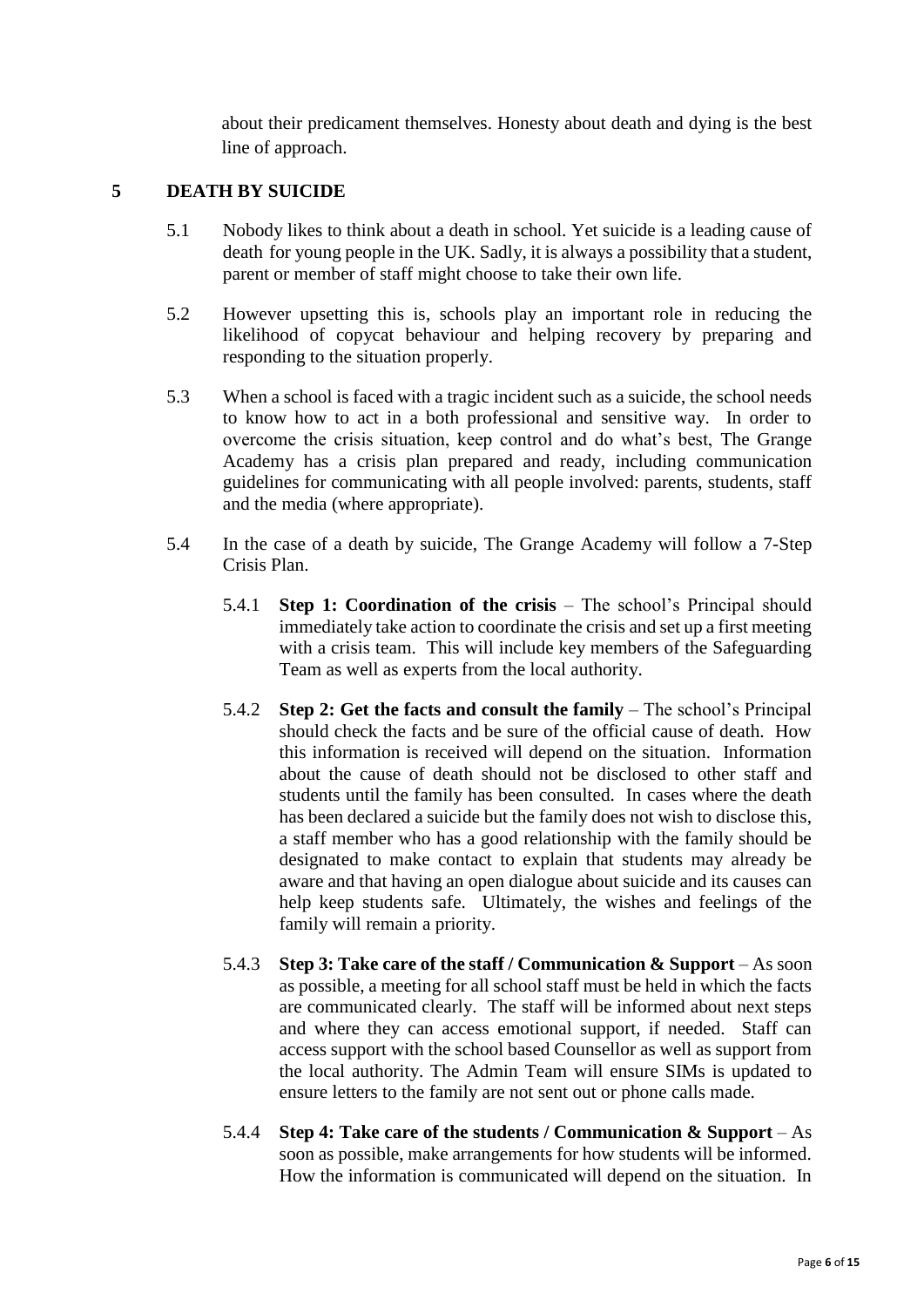about their predicament themselves. Honesty about death and dying is the best line of approach.

### **5 DEATH BY SUICIDE**

- 5.1 Nobody likes to think about a death in school. Yet suicide is a leading cause of death for young people in the UK. Sadly, it is always a possibility that a student, parent or member of staff might choose to take their own life.
- 5.2 However upsetting this is, schools play an important role in reducing the likelihood of copycat behaviour and helping recovery by preparing and responding to the situation properly.
- 5.3 When a school is faced with a tragic incident such as a suicide, the school needs to know how to act in a both professional and sensitive way. In order to overcome the crisis situation, keep control and do what's best, The Grange Academy has a crisis plan prepared and ready, including communication guidelines for communicating with all people involved: parents, students, staff and the media (where appropriate).
- 5.4 In the case of a death by suicide, The Grange Academy will follow a 7-Step Crisis Plan.
	- 5.4.1 **Step 1: Coordination of the crisis** The school's Principal should immediately take action to coordinate the crisis and set up a first meeting with a crisis team. This will include key members of the Safeguarding Team as well as experts from the local authority.
	- 5.4.2 **Step 2: Get the facts and consult the family** The school's Principal should check the facts and be sure of the official cause of death. How this information is received will depend on the situation. Information about the cause of death should not be disclosed to other staff and students until the family has been consulted. In cases where the death has been declared a suicide but the family does not wish to disclose this, a staff member who has a good relationship with the family should be designated to make contact to explain that students may already be aware and that having an open dialogue about suicide and its causes can help keep students safe. Ultimately, the wishes and feelings of the family will remain a priority.
	- 5.4.3 **Step 3: Take care of the staff / Communication & Support** As soon as possible, a meeting for all school staff must be held in which the facts are communicated clearly. The staff will be informed about next steps and where they can access emotional support, if needed. Staff can access support with the school based Counsellor as well as support from the local authority. The Admin Team will ensure SIMs is updated to ensure letters to the family are not sent out or phone calls made.
	- 5.4.4 **Step 4: Take care of the students / Communication & Support** As soon as possible, make arrangements for how students will be informed. How the information is communicated will depend on the situation. In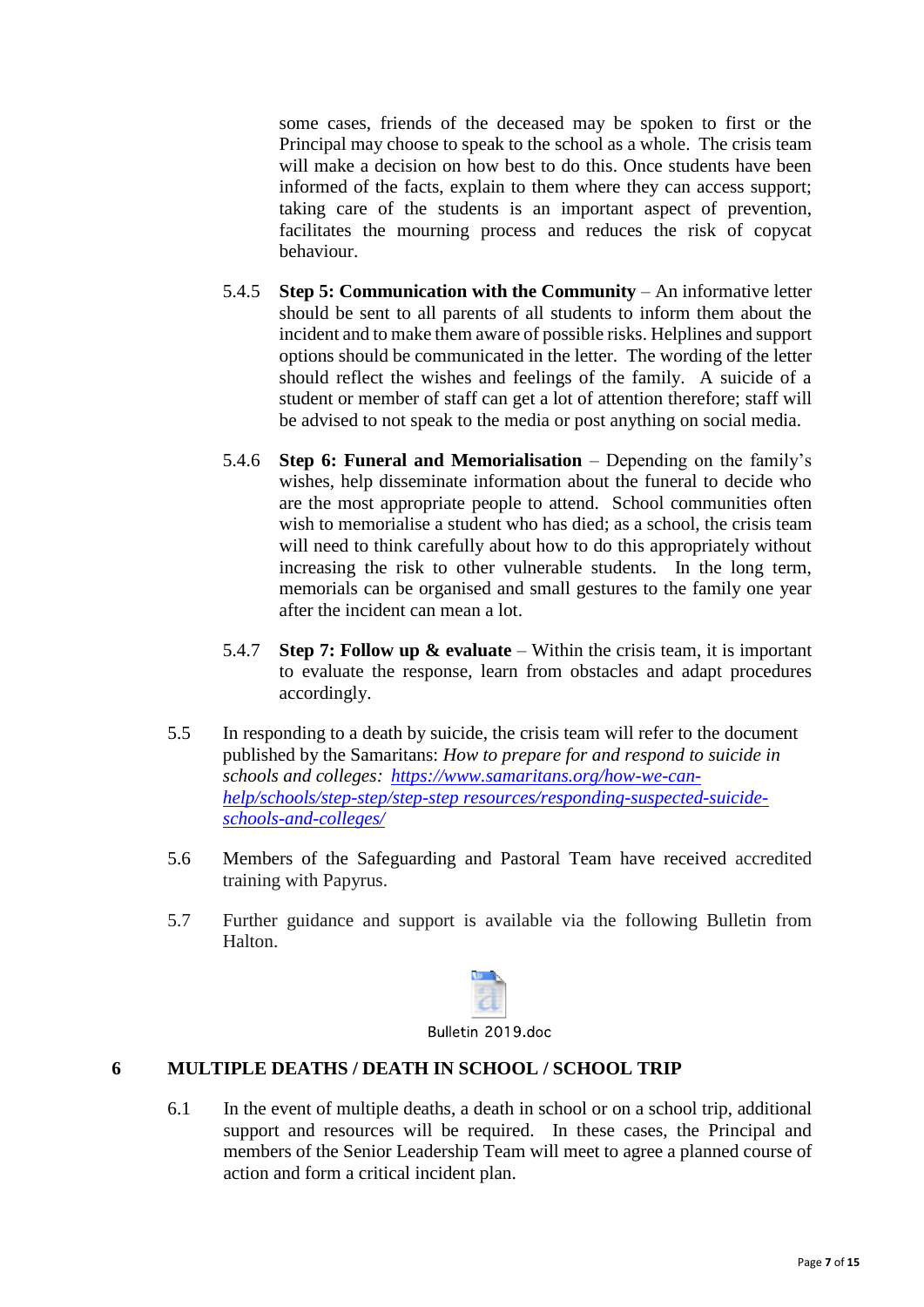some cases, friends of the deceased may be spoken to first or the Principal may choose to speak to the school as a whole. The crisis team will make a decision on how best to do this. Once students have been informed of the facts, explain to them where they can access support; taking care of the students is an important aspect of prevention, facilitates the mourning process and reduces the risk of copycat behaviour.

- 5.4.5 **Step 5: Communication with the Community** An informative letter should be sent to all parents of all students to inform them about the incident and to make them aware of possible risks. Helplines and support options should be communicated in the letter. The wording of the letter should reflect the wishes and feelings of the family. A suicide of a student or member of staff can get a lot of attention therefore; staff will be advised to not speak to the media or post anything on social media.
- 5.4.6 **Step 6: Funeral and Memorialisation** Depending on the family's wishes, help disseminate information about the funeral to decide who are the most appropriate people to attend. School communities often wish to memorialise a student who has died; as a school, the crisis team will need to think carefully about how to do this appropriately without increasing the risk to other vulnerable students. In the long term, memorials can be organised and small gestures to the family one year after the incident can mean a lot.
- 5.4.7 **Step 7: Follow up & evaluate**  Within the crisis team, it is important to evaluate the response, learn from obstacles and adapt procedures accordingly.
- 5.5 In responding to a death by suicide, the crisis team will refer to the document published by the Samaritans: *How to prepare for and respond to suicide in schools and colleges: [https://www.samaritans.org/how-we-can](https://www.samaritans.org/how-we-can-help/schools/step-step/step-step%20resources/responding-suspected-suicide-schools-and-colleges/)[help/schools/step-step/step-step resources/responding-suspected-suicide](https://www.samaritans.org/how-we-can-help/schools/step-step/step-step%20resources/responding-suspected-suicide-schools-and-colleges/)[schools-and-colleges/](https://www.samaritans.org/how-we-can-help/schools/step-step/step-step%20resources/responding-suspected-suicide-schools-and-colleges/)*
- 5.6 Members of the Safeguarding and Pastoral Team have received accredited training with Papyrus.
- 5.7 Further guidance and support is available via the following Bulletin from Halton.

| п<br>$\ddot{\phantom{a}}$ | ົາ | . 1 |  |
|---------------------------|----|-----|--|

## Bulletin 2019 doc

## **6 MULTIPLE DEATHS / DEATH IN SCHOOL / SCHOOL TRIP**

6.1 In the event of multiple deaths, a death in school or on a school trip, additional support and resources will be required. In these cases, the Principal and members of the Senior Leadership Team will meet to agree a planned course of action and form a critical incident plan.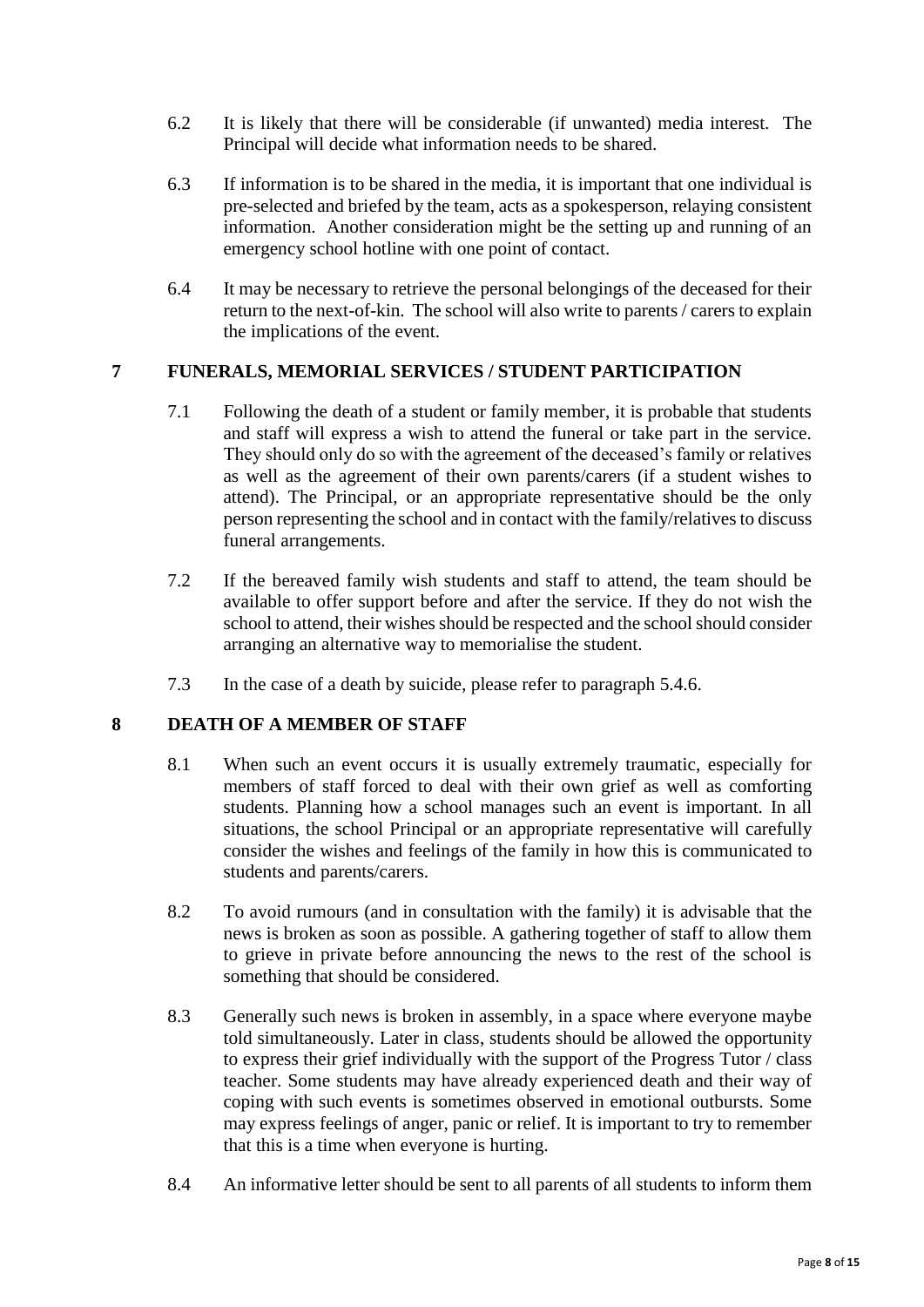- 6.2 It is likely that there will be considerable (if unwanted) media interest. The Principal will decide what information needs to be shared.
- 6.3 If information is to be shared in the media, it is important that one individual is pre-selected and briefed by the team, acts as a spokesperson, relaying consistent information. Another consideration might be the setting up and running of an emergency school hotline with one point of contact.
- 6.4 It may be necessary to retrieve the personal belongings of the deceased for their return to the next-of-kin. The school will also write to parents / carers to explain the implications of the event.

### **7 FUNERALS, MEMORIAL SERVICES / STUDENT PARTICIPATION**

- 7.1 Following the death of a student or family member, it is probable that students and staff will express a wish to attend the funeral or take part in the service. They should only do so with the agreement of the deceased's family or relatives as well as the agreement of their own parents/carers (if a student wishes to attend). The Principal, or an appropriate representative should be the only person representing the school and in contact with the family/relatives to discuss funeral arrangements.
- 7.2 If the bereaved family wish students and staff to attend, the team should be available to offer support before and after the service. If they do not wish the school to attend, their wishes should be respected and the school should consider arranging an alternative way to memorialise the student.
- 7.3 In the case of a death by suicide, please refer to paragraph 5.4.6.

#### **8 DEATH OF A MEMBER OF STAFF**

- 8.1 When such an event occurs it is usually extremely traumatic, especially for members of staff forced to deal with their own grief as well as comforting students. Planning how a school manages such an event is important. In all situations, the school Principal or an appropriate representative will carefully consider the wishes and feelings of the family in how this is communicated to students and parents/carers.
- 8.2 To avoid rumours (and in consultation with the family) it is advisable that the news is broken as soon as possible. A gathering together of staff to allow them to grieve in private before announcing the news to the rest of the school is something that should be considered.
- 8.3 Generally such news is broken in assembly, in a space where everyone maybe told simultaneously. Later in class, students should be allowed the opportunity to express their grief individually with the support of the Progress Tutor / class teacher. Some students may have already experienced death and their way of coping with such events is sometimes observed in emotional outbursts. Some may express feelings of anger, panic or relief. It is important to try to remember that this is a time when everyone is hurting.
- 8.4 An informative letter should be sent to all parents of all students to inform them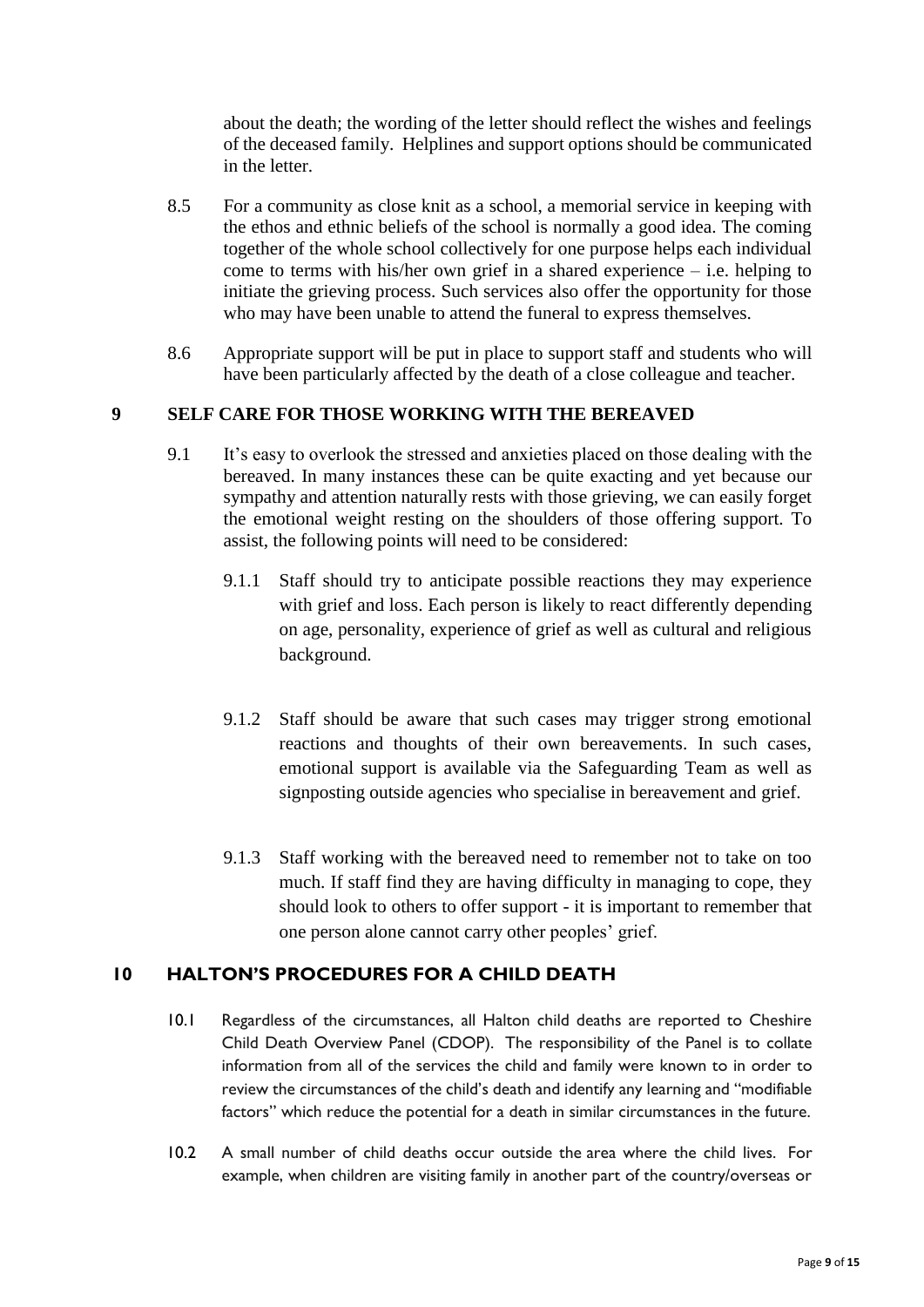about the death; the wording of the letter should reflect the wishes and feelings of the deceased family. Helplines and support options should be communicated in the letter.

- 8.5 For a community as close knit as a school, a memorial service in keeping with the ethos and ethnic beliefs of the school is normally a good idea. The coming together of the whole school collectively for one purpose helps each individual come to terms with his/her own grief in a shared experience – i.e. helping to initiate the grieving process. Such services also offer the opportunity for those who may have been unable to attend the funeral to express themselves.
- 8.6 Appropriate support will be put in place to support staff and students who will have been particularly affected by the death of a close colleague and teacher.

## **9 SELF CARE FOR THOSE WORKING WITH THE BEREAVED**

- 9.1 It's easy to overlook the stressed and anxieties placed on those dealing with the bereaved. In many instances these can be quite exacting and yet because our sympathy and attention naturally rests with those grieving, we can easily forget the emotional weight resting on the shoulders of those offering support. To assist, the following points will need to be considered:
	- 9.1.1 Staff should try to anticipate possible reactions they may experience with grief and loss. Each person is likely to react differently depending on age, personality, experience of grief as well as cultural and religious background.
	- 9.1.2 Staff should be aware that such cases may trigger strong emotional reactions and thoughts of their own bereavements. In such cases, emotional support is available via the Safeguarding Team as well as signposting outside agencies who specialise in bereavement and grief.
	- 9.1.3 Staff working with the bereaved need to remember not to take on too much. If staff find they are having difficulty in managing to cope, they should look to others to offer support - it is important to remember that one person alone cannot carry other peoples' grief.

## **10 HALTON'S PROCEDURES FOR A CHILD DEATH**

- 10.1 Regardless of the circumstances, all Halton child deaths are reported to Cheshire Child Death Overview Panel (CDOP). The responsibility of the Panel is to collate information from all of the services the child and family were known to in order to review the circumstances of the child's death and identify any learning and "modifiable factors" which reduce the potential for a death in similar circumstances in the future.
- 10.2 A small number of child deaths occur outside the area where the child lives. For example, when children are visiting family in another part of the country/overseas or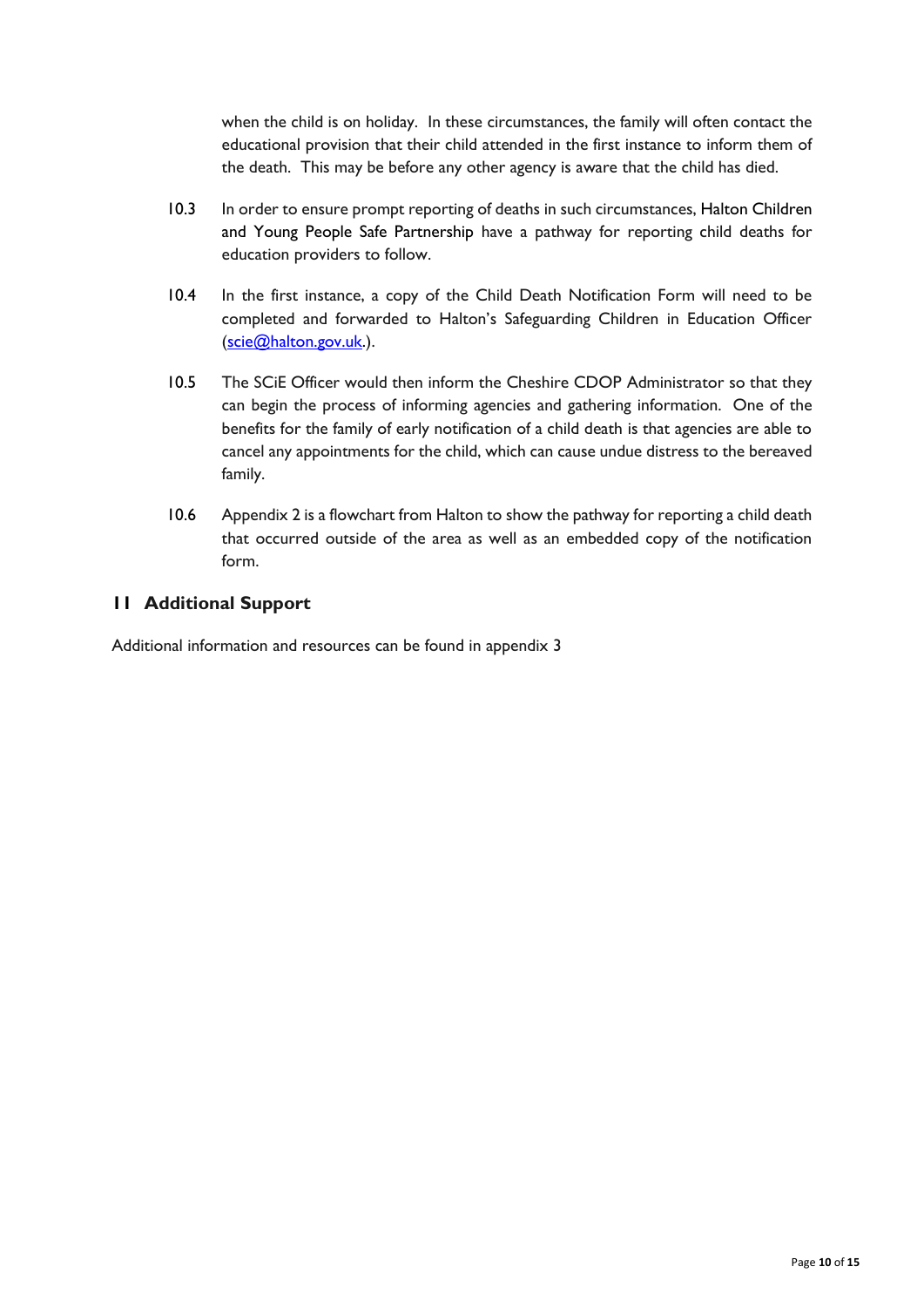when the child is on holiday. In these circumstances, the family will often contact the educational provision that their child attended in the first instance to inform them of the death. This may be before any other agency is aware that the child has died.

- 10.3 In order to ensure prompt reporting of deaths in such circumstances, Halton Children and Young People Safe Partnership have a pathway for reporting child deaths for education providers to follow.
- 10.4 In the first instance, a copy of the Child Death Notification Form will need to be completed and forwarded to Halton's Safeguarding Children in Education Officer [\(scie@halton.gov.uk.\)](mailto:scie@halton.gov.uk).
- 10.5 The SCiE Officer would then inform the Cheshire CDOP Administrator so that they can begin the process of informing agencies and gathering information. One of the benefits for the family of early notification of a child death is that agencies are able to cancel any appointments for the child, which can cause undue distress to the bereaved family.
- 10.6 Appendix 2 is a flowchart from Halton to show the pathway for reporting a child death that occurred outside of the area as well as an embedded copy of the notification form.

## **11 Additional Support**

Additional information and resources can be found in appendix 3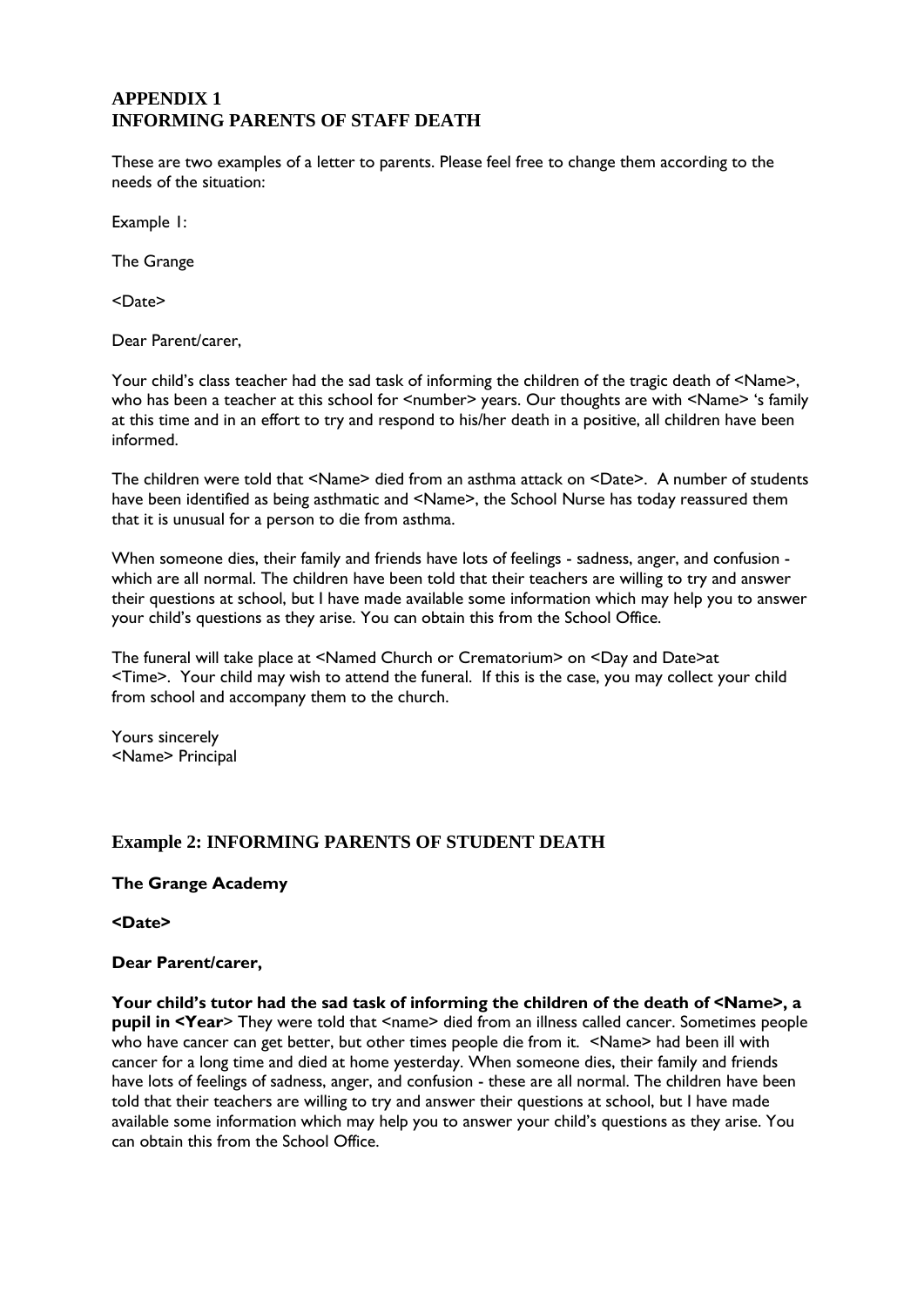## **APPENDIX 1 INFORMING PARENTS OF STAFF DEATH**

These are two examples of a letter to parents. Please feel free to change them according to the needs of the situation:

Example 1:

The Grange

<Date>

Dear Parent/carer,

Your child's class teacher had the sad task of informing the children of the tragic death of <Name>, who has been a teacher at this school for <number> years. Our thoughts are with <Name> 's family at this time and in an effort to try and respond to his/her death in a positive, all children have been informed.

The children were told that <Name> died from an asthma attack on <Date>. A number of students have been identified as being asthmatic and <Name>, the School Nurse has today reassured them that it is unusual for a person to die from asthma.

When someone dies, their family and friends have lots of feelings - sadness, anger, and confusion which are all normal. The children have been told that their teachers are willing to try and answer their questions at school, but I have made available some information which may help you to answer your child's questions as they arise. You can obtain this from the School Office.

The funeral will take place at <Named Church or Crematorium> on <Day and Date>at <Time>. Your child may wish to attend the funeral. If this is the case, you may collect your child from school and accompany them to the church.

Yours sincerely <Name> Principal

## **Example 2: INFORMING PARENTS OF STUDENT DEATH**

**The Grange Academy**

**<Date>**

#### **Dear Parent/carer,**

**Your child's tutor had the sad task of informing the children of the death of <Name>, a pupil in <Year**> They were told that <name> died from an illness called cancer. Sometimes people who have cancer can get better, but other times people die from it. <Name> had been ill with cancer for a long time and died at home yesterday. When someone dies, their family and friends have lots of feelings of sadness, anger, and confusion - these are all normal. The children have been told that their teachers are willing to try and answer their questions at school, but I have made available some information which may help you to answer your child's questions as they arise. You can obtain this from the School Office.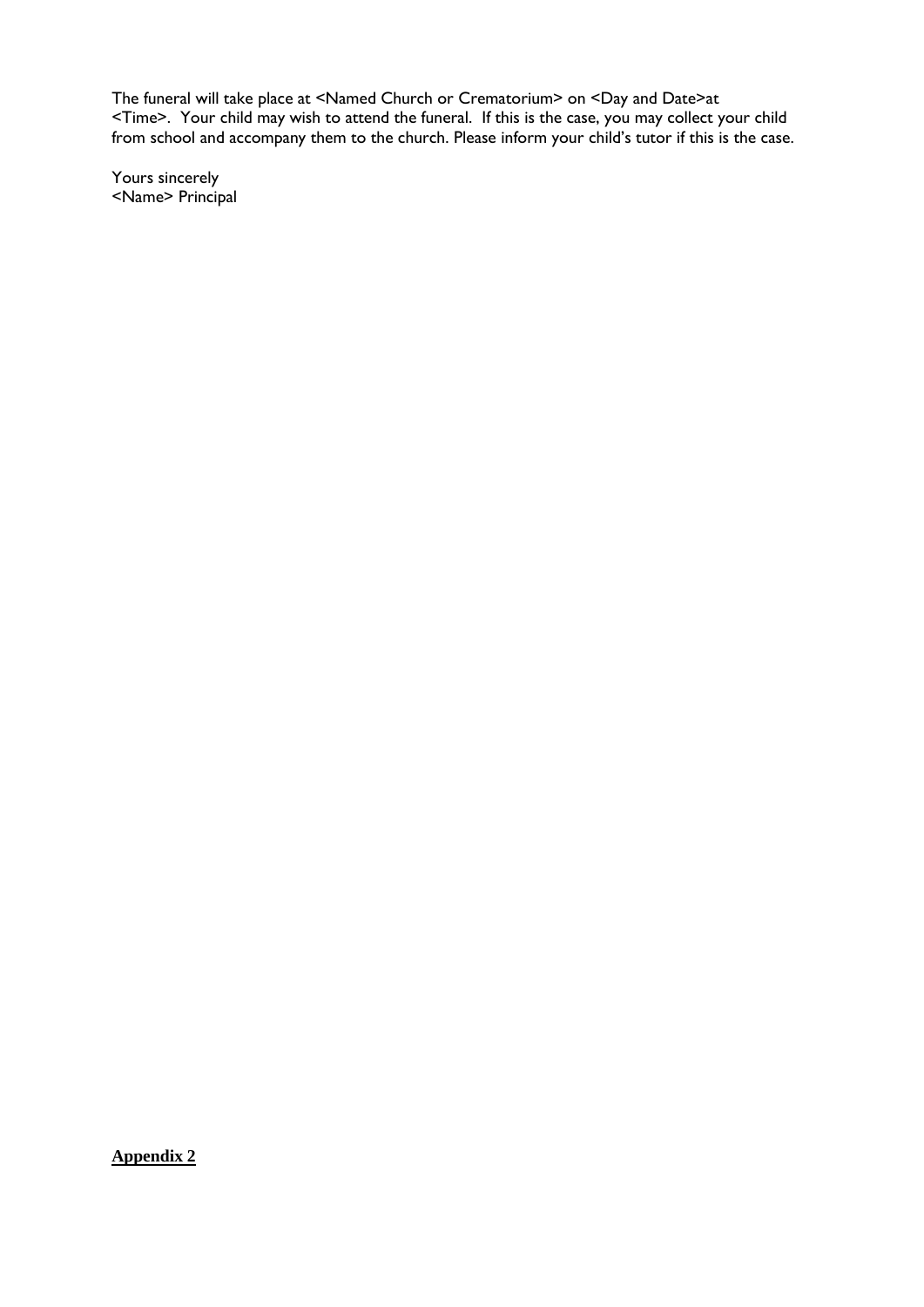The funeral will take place at <Named Church or Crematorium> on <Day and Date>at <Time>. Your child may wish to attend the funeral. If this is the case, you may collect your child from school and accompany them to the church. Please inform your child's tutor if this is the case.

Yours sincerely <Name> Principal

**Appendix 2**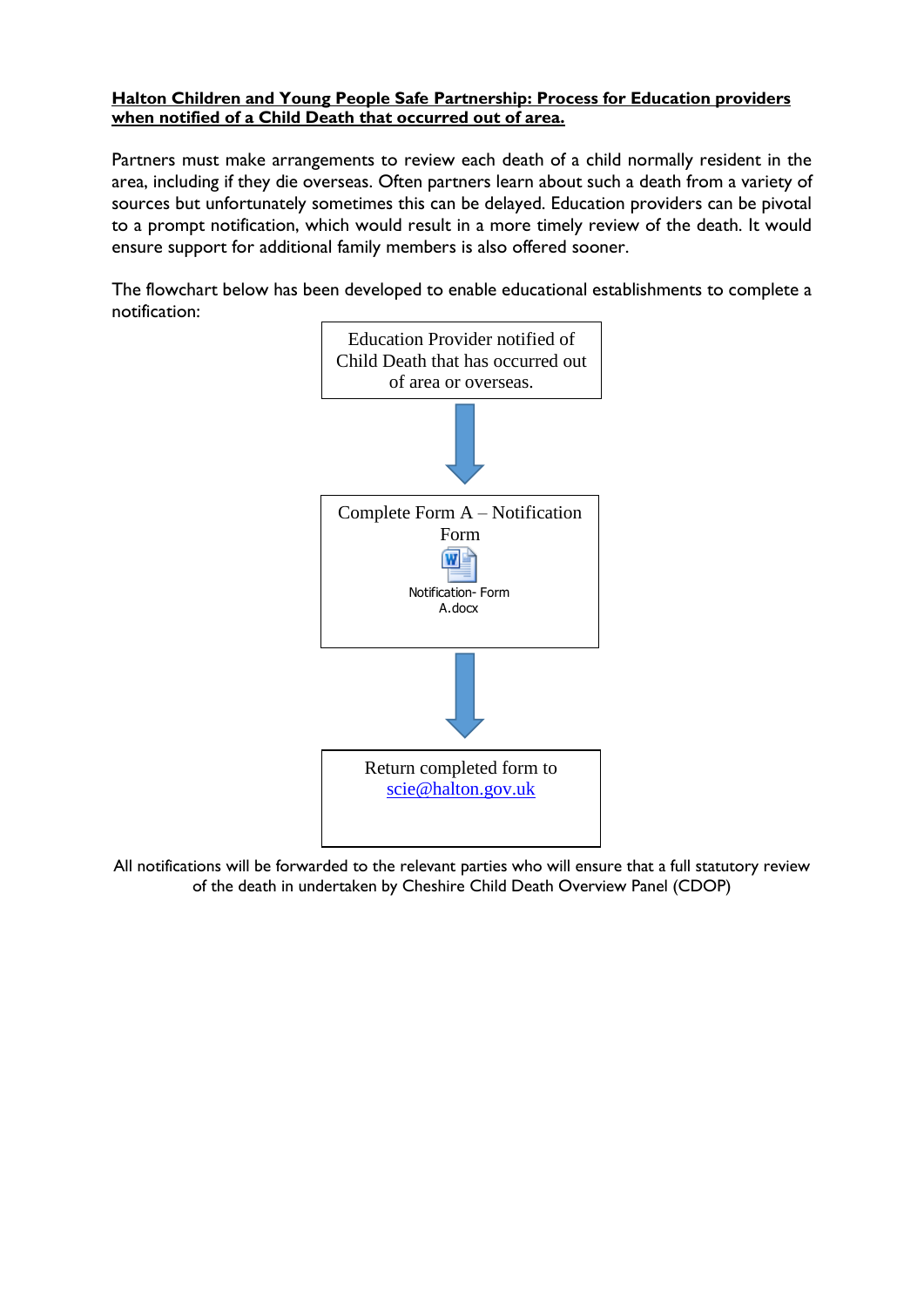#### **Halton Children and Young People Safe Partnership: Process for Education providers when notified of a Child Death that occurred out of area.**

Partners must make arrangements to review each death of a child normally resident in the area, including if they die overseas. Often partners learn about such a death from a variety of sources but unfortunately sometimes this can be delayed. Education providers can be pivotal to a prompt notification, which would result in a more timely review of the death. It would ensure support for additional family members is also offered sooner.

The flowchart below has been developed to enable educational establishments to complete a notification:



All notifications will be forwarded to the relevant parties who will ensure that a full statutory review of the death in undertaken by Cheshire Child Death Overview Panel (CDOP)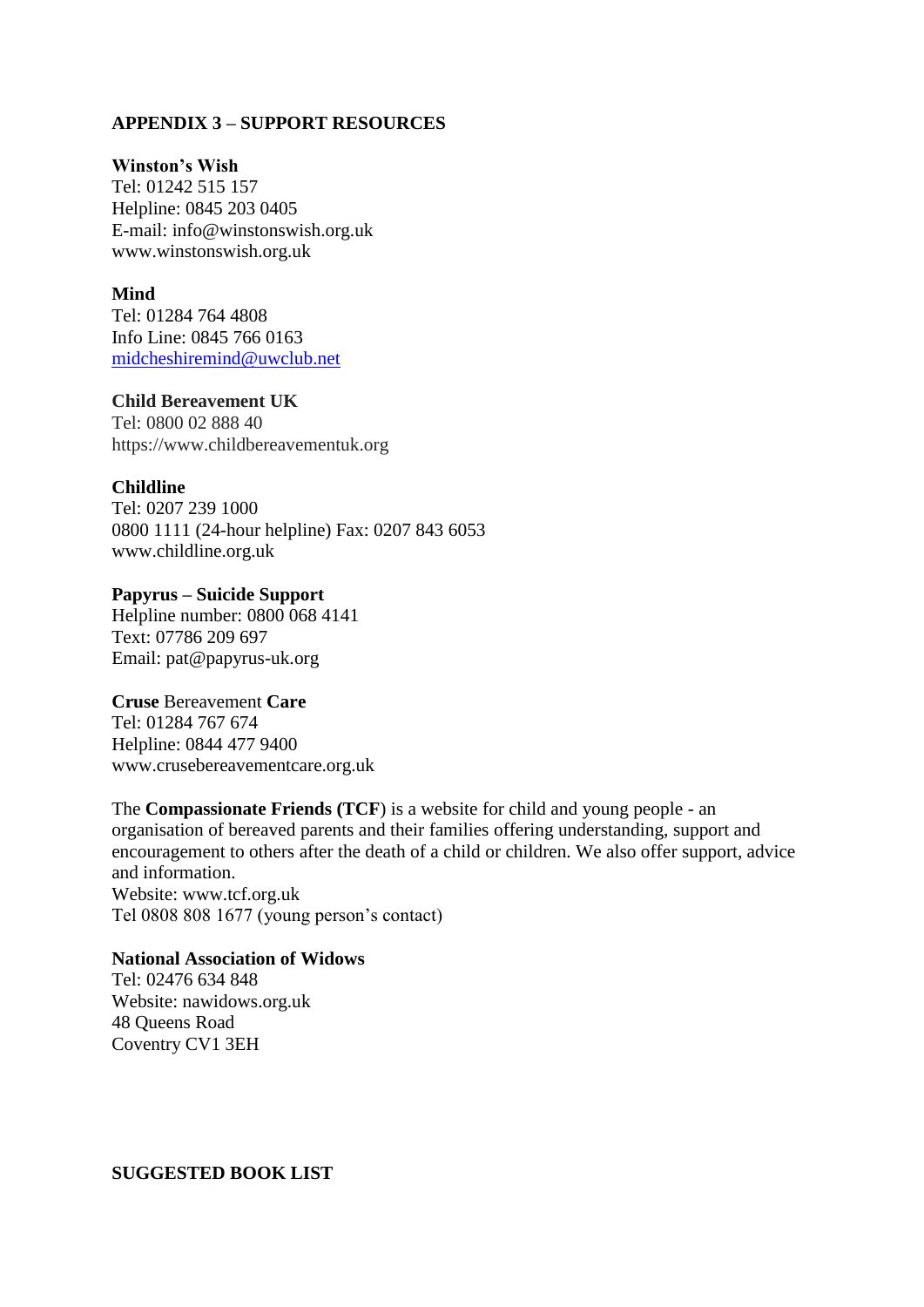### **APPENDIX 3 – SUPPORT RESOURCES**

#### **Winston's Wish**

Tel: 01242 515 157 Helpline: 0845 203 0405 E-mail: info@winstonswish.org.uk www.winstonswish.org.uk

#### **Mind**

Tel: 01284 764 4808 Info Line: 0845 766 0163 [midcheshiremind@uwclub.net](mailto:midcheshiremind@uwclub.net)

#### **Child Bereavement UK**

Tel: 0800 02 888 40 https://www.childbereavementuk.org

#### **Childline**

Tel: 0207 239 1000 0800 1111 (24-hour helpline) Fax: 0207 843 6053 www.childline.org.uk

## **Papyrus – Suicide Support**

Helpline number: 0800 068 4141 Text: 07786 209 697 Email: pat@papyrus-uk.org

#### **Cruse** Bereavement **Care**

Tel: 01284 767 674 Helpline: 0844 477 9400 www.crusebereavementcare.org.uk

The **Compassionate Friends (TCF**) is a website for child and young people - an organisation of bereaved parents and their families offering understanding, support and encouragement to others after the death of a child or children. We also offer support, advice and information. Website: www.tcf.org.uk Tel 0808 808 1677 (young person's contact)

#### **National Association of Widows**

Tel: 02476 634 848 Website: nawidows.org.uk 48 Queens Road Coventry CV1 3EH

**SUGGESTED BOOK LIST**